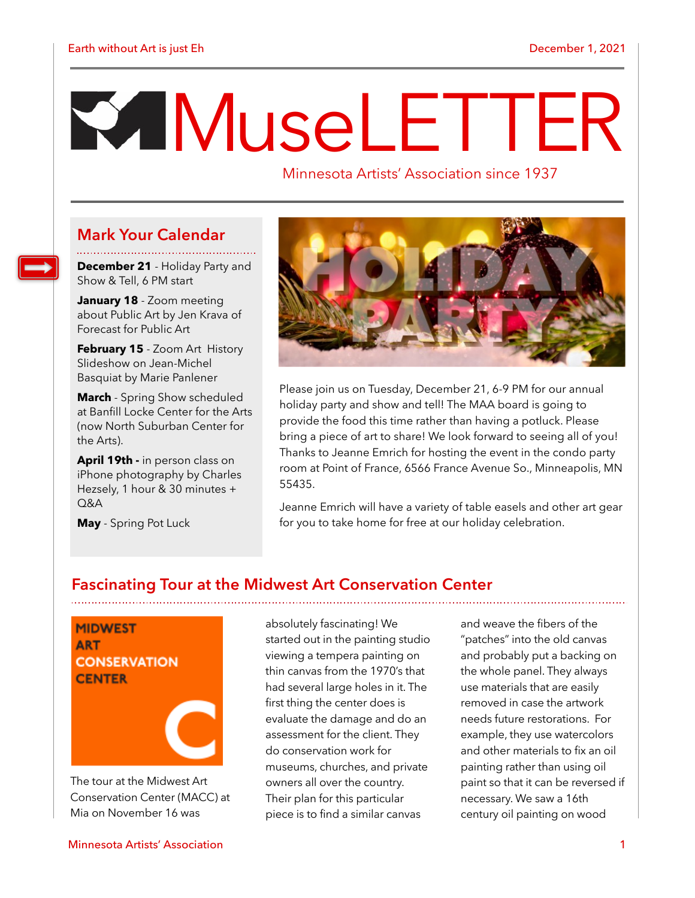# M useLETTER

Minnesota Artists' Association since 1937

# **Mark Your Calendar**

**December 21** - Holiday Party and Show & Tell, 6 PM start

**January 18** - Zoom meeting about Public Art by Jen Krava of Forecast for Public Art

**February 15** - Zoom Art History Slideshow on Jean-Michel Basquiat by Marie Panlener

**March** - Spring Show scheduled at Banfill Locke Center for the Arts (now North Suburban Center for the Arts).

**April 19th -** in person class on iPhone photography by Charles Hezsely, 1 hour & 30 minutes +  $O&A$ 

**May** - Spring Pot Luck



Please join us on Tuesday, December 21, 6-9 PM for our annual holiday party and show and tell! The MAA board is going to provide the food this time rather than having a potluck. Please bring a piece of art to share! We look forward to seeing all of you! Thanks to Jeanne Emrich for hosting the event in the condo party room at Point of France, 6566 France Avenue So., Minneapolis, MN 55435.

Jeanne Emrich will have a variety of table easels and other art gear for you to take home for free at our holiday celebration.

# **Fascinating Tour at the Midwest Art Conservation Center**

**MIDWEST ART CONSERVATION CENTER** 

The tour at the Midwest Art Conservation Center (MACC) at Mia on November 16 was

Minnesota Artists' Association 1

absolutely fascinating! We started out in the painting studio viewing a tempera painting on thin canvas from the 1970's that had several large holes in it. The first thing the center does is evaluate the damage and do an assessment for the client. They do conservation work for museums, churches, and private owners all over the country. Their plan for this particular piece is to find a similar canvas

and weave the fibers of the "patches" into the old canvas and probably put a backing on the whole panel. They always use materials that are easily removed in case the artwork needs future restorations. For example, they use watercolors and other materials to fix an oil painting rather than using oil paint so that it can be reversed if necessary. We saw a 16th century oil painting on wood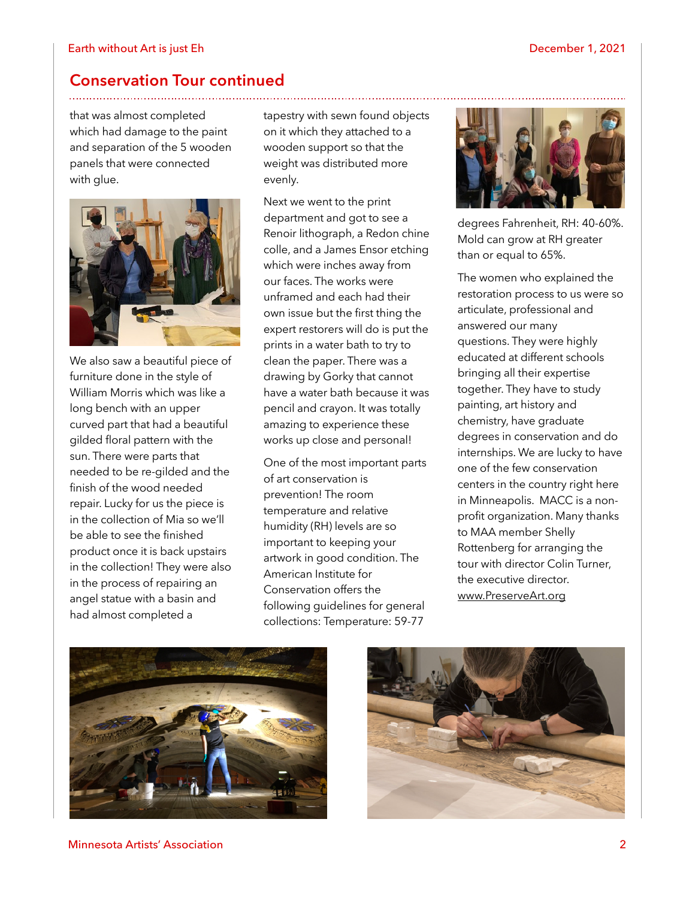### **Conservation Tour continued**

that was almost completed which had damage to the paint and separation of the 5 wooden panels that were connected with glue.



We also saw a beautiful piece of furniture done in the style of William Morris which was like a long bench with an upper curved part that had a beautiful gilded floral pattern with the sun. There were parts that needed to be re-gilded and the finish of the wood needed repair. Lucky for us the piece is in the collection of Mia so we'll be able to see the finished product once it is back upstairs in the collection! They were also in the process of repairing an angel statue with a basin and had almost completed a

tapestry with sewn found objects on it which they attached to a wooden support so that the weight was distributed more evenly.

Next we went to the print department and got to see a Renoir lithograph, a Redon chine colle, and a James Ensor etching which were inches away from our faces. The works were unframed and each had their own issue but the first thing the expert restorers will do is put the prints in a water bath to try to clean the paper. There was a drawing by Gorky that cannot have a water bath because it was pencil and crayon. It was totally amazing to experience these works up close and personal!

One of the most important parts of art conservation is prevention! The room temperature and relative humidity (RH) levels are so important to keeping your artwork in good condition. The American Institute for Conservation offers the following guidelines for general collections: Temperature: 59-77



degrees Fahrenheit, RH: 40-60%. Mold can grow at RH greater than or equal to 65%.

The women who explained the restoration process to us were so articulate, professional and answered our many questions. They were highly educated at different schools bringing all their expertise together. They have to study painting, art history and chemistry, have graduate degrees in conservation and do internships. We are lucky to have one of the few conservation centers in the country right here in Minneapolis. MACC is a nonprofit organization. Many thanks to MAA member Shelly Rottenberg for arranging the tour with director Colin Turner, the executive director. [www.PreserveArt.org](http://www.preserveart.org/)





Minnesota Artists' Association 2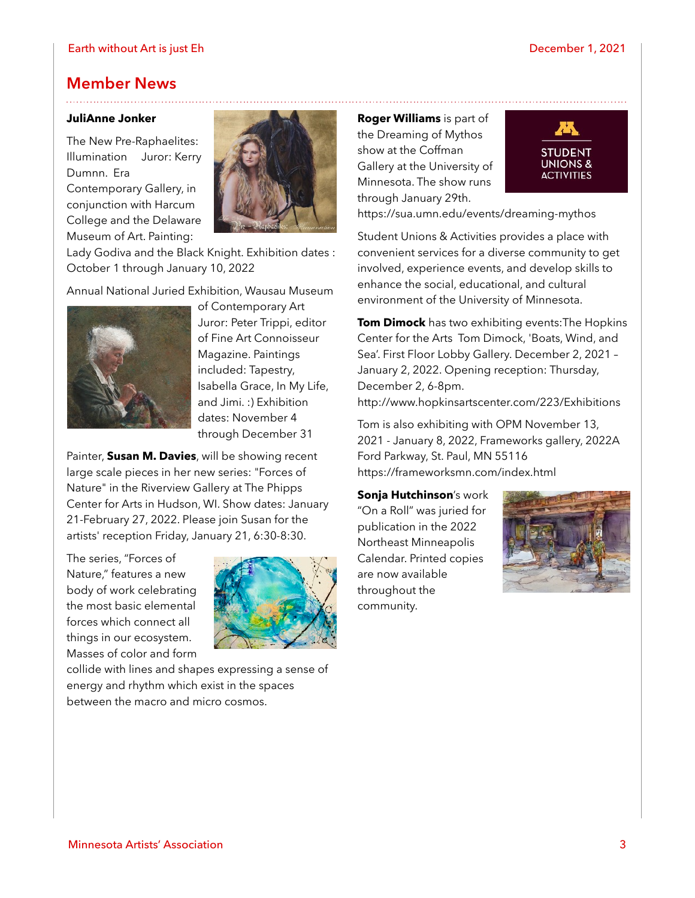#### Earth without Art is just Eh December 1, 2021

## **Member News**

#### **JuliAnne Jonker**

The New Pre-Raphaelites: Illumination Juror: Kerry Dumnn. Era Contemporary Gallery, in conjunction with Harcum College and the Delaware

Museum of Art. Painting:



Lady Godiva and the Black Knight. Exhibition dates : October 1 through January 10, 2022

Annual National Juried Exhibition, Wausau Museum



of Contemporary Art Juror: Peter Trippi, editor of Fine Art Connoisseur Magazine. Paintings included: Tapestry, Isabella Grace, In My Life, and Jimi. :) Exhibition dates: November 4 through December 31

Painter, **Susan M. Davies**, will be showing recent large scale pieces in her new series: "Forces of Nature" in the Riverview Gallery at The Phipps Center for Arts in Hudson, WI. Show dates: January 21-February 27, 2022. Please join Susan for the artists' reception Friday, January 21, 6:30-8:30.

The series, "Forces of Nature," features a new body of work celebrating the most basic elemental forces which connect all things in our ecosystem. Masses of color and form



collide with lines and shapes expressing a sense of energy and rhythm which exist in the spaces between the macro and micro cosmos.

**Roger Williams** is part of the [Dreaming of Mythos](https://sua.umn.edu/events/dreaming-mythos) show at the Coffman Gallery at the University of Minnesota. The show runs through January 29th.



<https://sua.umn.edu/events/dreaming-mythos>

Student Unions & Activities provides a place with convenient services for a diverse community to get involved, experience events, and develop skills to enhance the social, educational, and cultural environment of the University of Minnesota.

**Tom Dimock** has two exhibiting events:The Hopkins Center for the Arts Tom Dimock, 'Boats, Wind, and Sea'. First Floor Lobby Gallery. December 2, 2021 – January 2, 2022. Opening reception: Thursday, December 2, 6-8pm. <http://www.hopkinsartscenter.com/223/Exhibitions>

Tom is also exhibiting with OPM November 13, 2021 - January 8, 2022, Frameworks gallery, 2022A Ford Parkway, St. Paul, MN 55116 <https://frameworksmn.com/index.html>

**Sonja Hutchinson**'s work "On a Roll" was juried for publication in the 2022 Northeast Minneapolis Calendar. Printed copies are now available throughout the community.